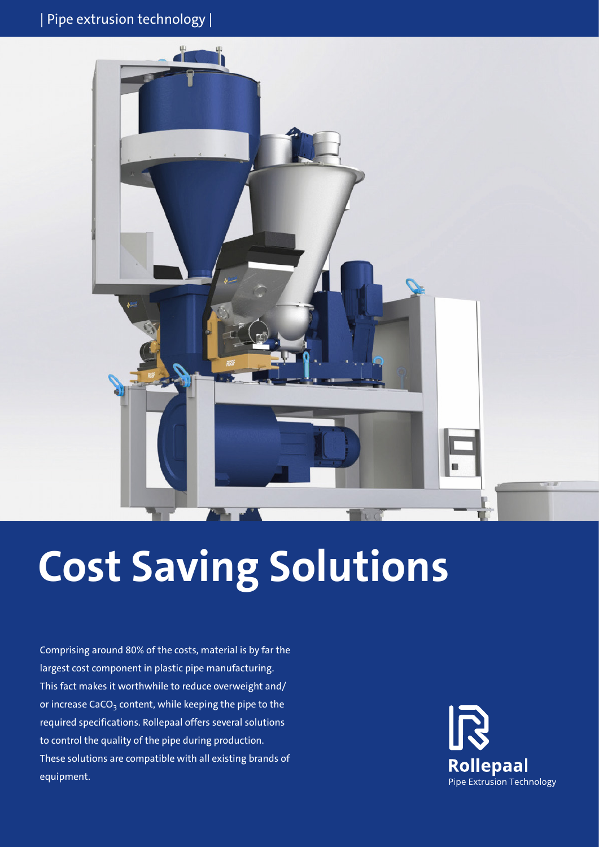

# **Cost Saving Solutions**

Comprising around 80% of the costs, material is by far the largest cost component in plastic pipe manufacturing. This fact makes it worthwhile to reduce overweight and/ or increase CaCO<sub>3</sub> content, while keeping the pipe to the required specifications. Rollepaal offers several solutions to control the quality of the pipe during production. These solutions are compatible with all existing brands of equipment.